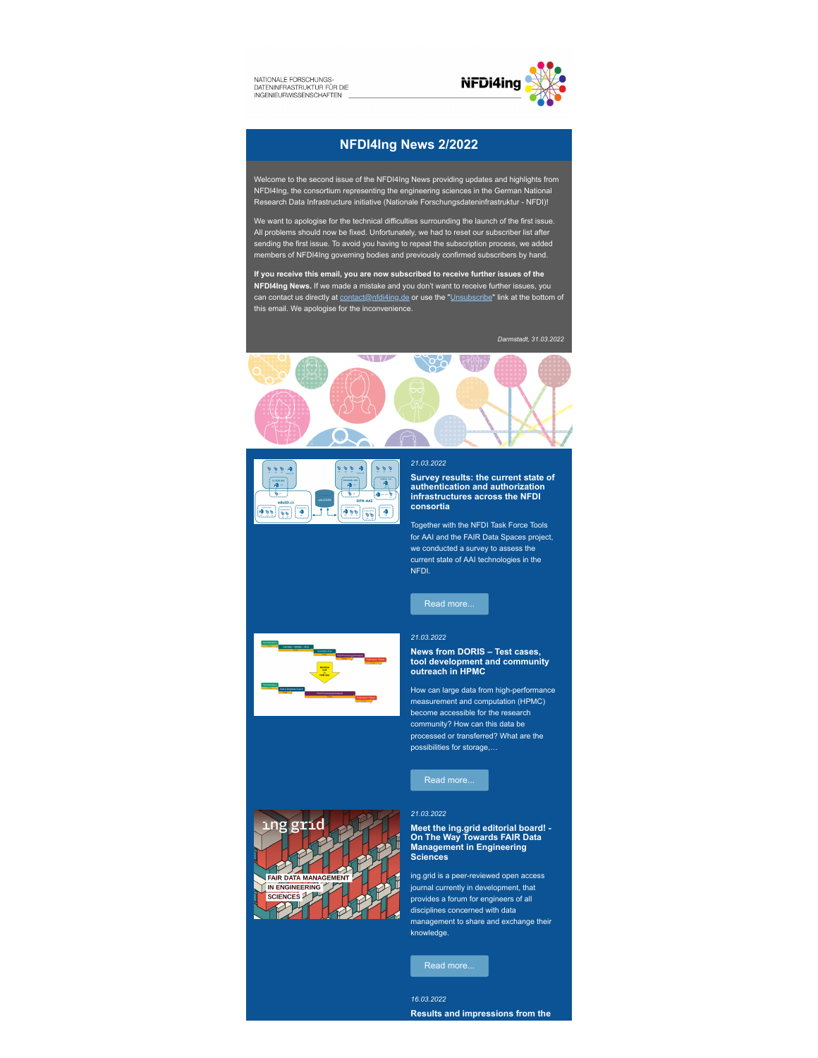NATIONALE FORSCHUNGS-NATIONALE FORSCHUNGS-<br>DATENINFRASTRUKTUR FÜR DIE



#### **NFDI4Ing News 2/2022**

Welcome to the second issue of the NFDI4Ing News providing updates and highlights from NFDI4Ing, the consortium representing the engineering sciences in the German National Research Data Infrastructure initiative (Nationale Forschungsdateninfrastruktur - NFDI)!

We want to apologise for the technical difficulties surrounding the launch of the first issue. All problems should now be fixed. Unfortunately, we had to reset our subscriber list after sending the first issue. To avoid you having to repeat the subscription process, we added members of NFDI4Ing governing bodies and previously confirmed subscribers by hand.

**If you receive this email, you are now subscribed to receive further issues of the NFDI4Ing News.** If we made a mistake and you don't want to receive further issues, you can contact us directly at [contact@nfdi4ing.de](mailto:contact@nfdi4ing.de) or use the ["Unsubscribe"](https://nfdi4ing.de/wp-admin/https://nfdi4ing.de/?na=nul) link at the bottom of this email. We apologise for the inconvenience.

*Darmstadt, 31.03.2022*





#### *21.03.2022*

**Survey results: the current state of authentication and authorization infrastructures across the NFDI consortia**

Together with the NFDI Task Force Tools for AAI and the FAIR Data Spaces project, we conducted a survey to assess the current state of AAI technologies in the NFDI.

[Read more...](https://nfdi4ing.de/2_5/)

#### *21.03.2022*

### **News from DORIS – Test cases, tool development and community outreach in HPMC**

How can large data from high-performance measurement and computation (HPMC) become accessible for the research community? How can this data be processed or transferred? What are the possibilities for storage,…



*21.03.2022*



**Meet the ing.grid editorial board! - On The Way Towards FAIR Data Management in Engineering Sciences**

ing.grid is a peer-reviewed open access journal currently in development, that provides a forum for engineers of all disciplines concerned with data management to share and exchange their knowledge.

*16.03.2022* **Results and impressions from the**